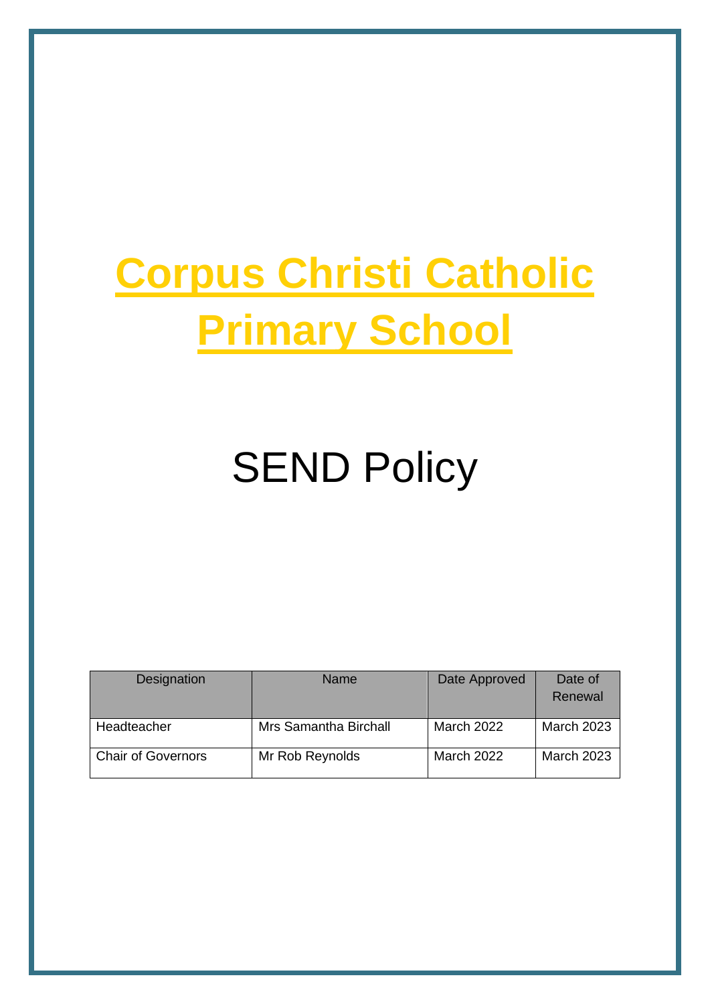# **Corpus Christi Catholic Primary School**

# **SEND Policy**

| Designation               | <b>Name</b>           | Date Approved     | Date of<br>Renewal |
|---------------------------|-----------------------|-------------------|--------------------|
| Headteacher               | Mrs Samantha Birchall | <b>March 2022</b> | <b>March 2023</b>  |
| <b>Chair of Governors</b> | Mr Rob Reynolds       | <b>March 2022</b> | <b>March 2023</b>  |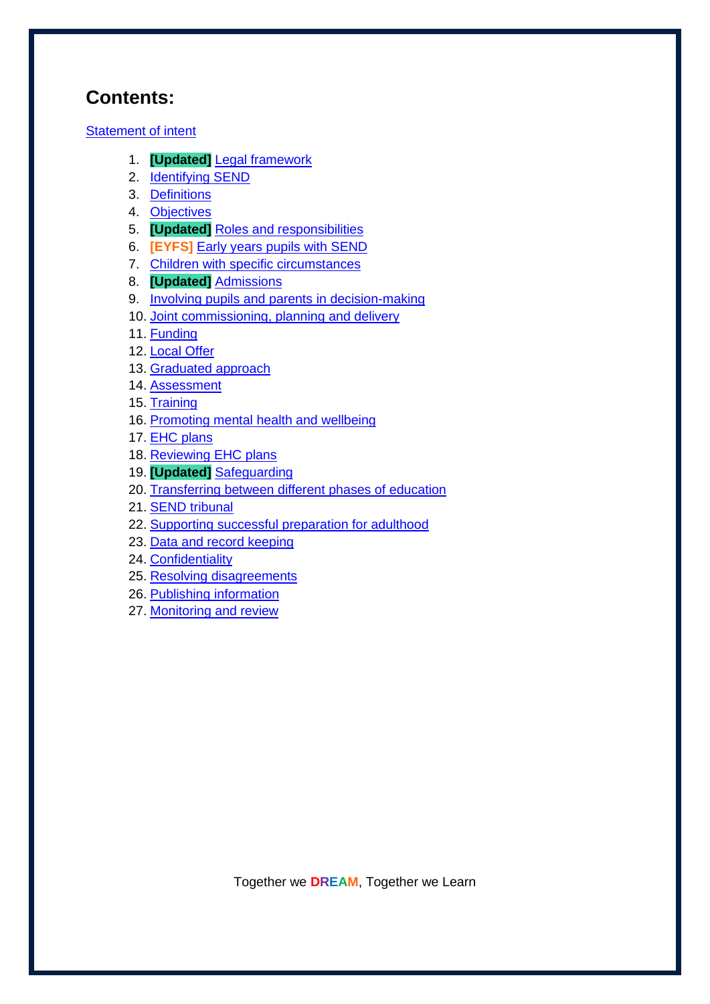# **Contents:**

#### **[Statement of intent](#page-2-0)**

- 1. **[Updated]** [Legal framework](#page-3-0)
- 2. [Identifying SEND](#page-4-0)
- 3. [Definitions](#page-4-1)
- 4. [Objectives](#page-6-0)
- 5. **[Updated]** [Roles and responsibilities](#page-6-1)
- 6. **[EYFS]** [Early years pupils with SEND](#page-9-0)
- 7. [Children with specific circumstances](#page-10-0)
- 8. **[Updated]** [Admissions](#page-11-0)
- 9. [Involving pupils and parents in decision-making](#page-11-1)
- 10. [Joint commissioning, planning and delivery](#page-12-0)
- 11. [Funding](#page-13-0)
- 12. [Local Offer](#page-13-1)
- 13. [Graduated approach](#page-13-2)
- 14. [Assessment](#page-14-0)
- 15. [Training](#page-15-0)
- 16. [Promoting mental health and wellbeing](#page-15-1)
- 17. [EHC plans](#page-16-0)
- 18. [Reviewing EHC plans](#page-17-0)
- 19. **[Updated]** [Safeguarding](#page-17-1)
- 20. [Transferring between different phases of education](#page-18-0)
- 21. [SEND tribunal](#page-18-1)
- 22. [Supporting successful preparation for adulthood](#page-19-0)
- 23. Data and record keeping
- 24. [Confidentiality](#page-20-0)
- 25. [Resolving disagreements](#page-20-1)
- 26. [Publishing information](#page-21-0)
- 27. [Monitoring and review](#page-21-1)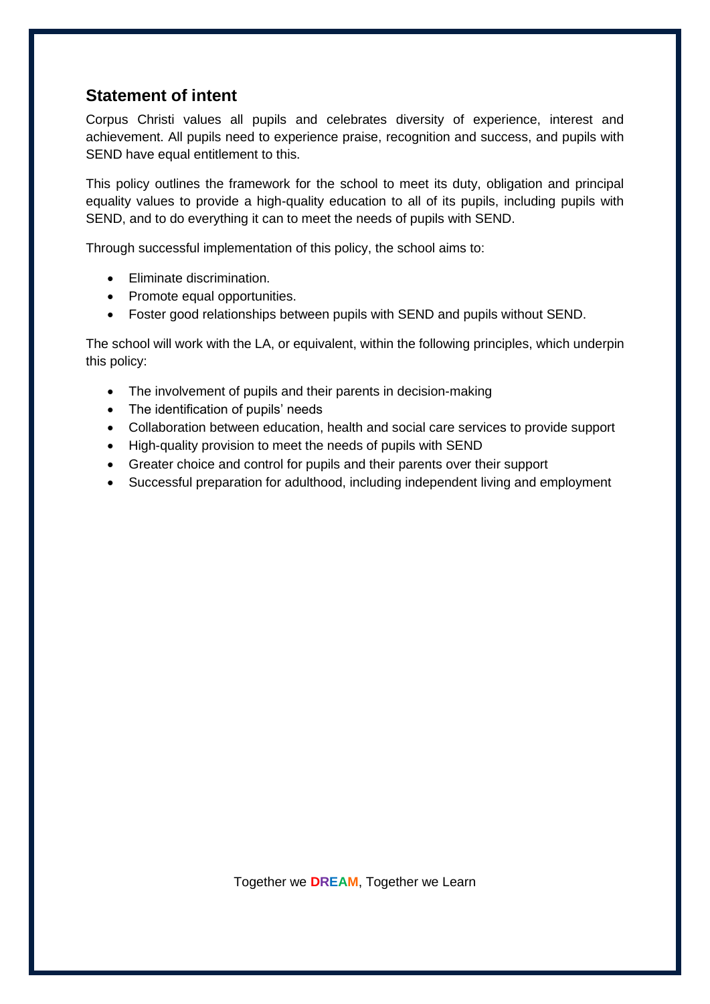#### <span id="page-2-0"></span>**Statement of intent**

Corpus Christi values all pupils and celebrates diversity of experience, interest and achievement. All pupils need to experience praise, recognition and success, and pupils with SEND have equal entitlement to this.

This policy outlines the framework for the school to meet its duty, obligation and principal equality values to provide a high-quality education to all of its pupils, including pupils with SEND, and to do everything it can to meet the needs of pupils with SEND.

Through successful implementation of this policy, the school aims to:

- Eliminate discrimination.
- Promote equal opportunities.
- Foster good relationships between pupils with SEND and pupils without SEND.

The school will work with the LA, or equivalent, within the following principles, which underpin this policy:

- The involvement of pupils and their parents in decision-making
- The identification of pupils' needs
- Collaboration between education, health and social care services to provide support
- High-quality provision to meet the needs of pupils with SEND
- Greater choice and control for pupils and their parents over their support
- Successful preparation for adulthood, including independent living and employment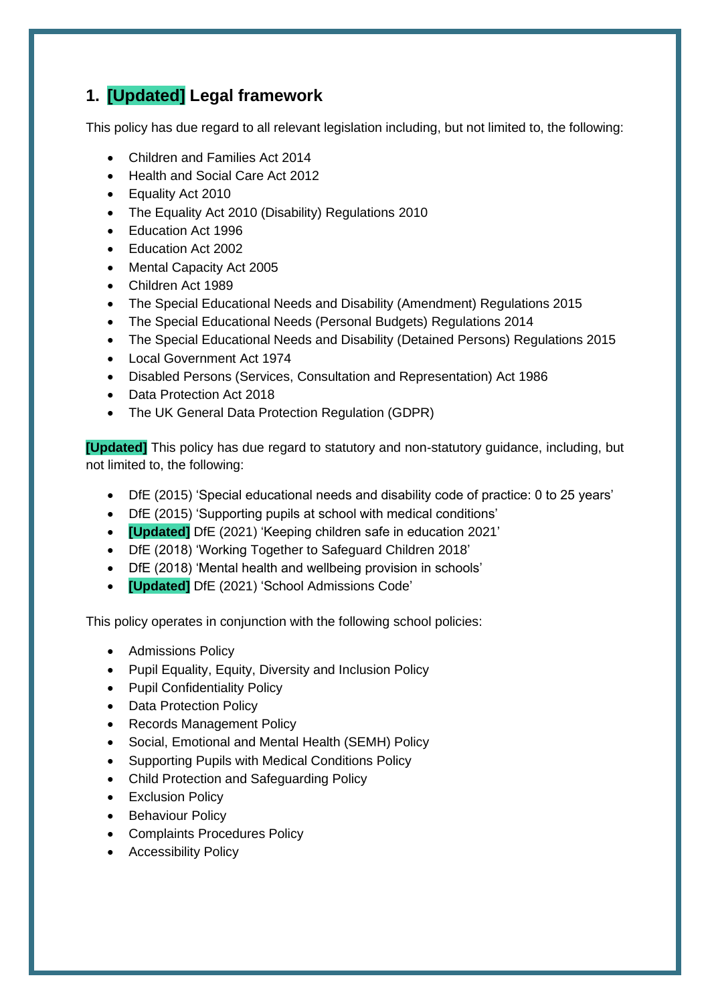# <span id="page-3-0"></span>**1. [Updated] Legal framework**

This policy has due regard to all relevant legislation including, but not limited to, the following:

- Children and Families Act 2014
- Health and Social Care Act 2012
- Equality Act 2010
- The Equality Act 2010 (Disability) Regulations 2010
- Education Act 1996
- Education Act 2002
- Mental Capacity Act 2005
- Children Act 1989
- The Special Educational Needs and Disability (Amendment) Regulations 2015
- The Special Educational Needs (Personal Budgets) Regulations 2014
- The Special Educational Needs and Disability (Detained Persons) Regulations 2015
- Local Government Act 1974
- Disabled Persons (Services, Consultation and Representation) Act 1986
- Data Protection Act 2018
- The UK General Data Protection Regulation (GDPR)

**[Updated]** This policy has due regard to statutory and non-statutory guidance, including, but not limited to, the following:

- DfE (2015) 'Special educational needs and disability code of practice: 0 to 25 years'
- DfE (2015) 'Supporting pupils at school with medical conditions'
- **[Updated]** DfE (2021) 'Keeping children safe in education 2021'
- DfE (2018) 'Working Together to Safeguard Children 2018'
- DfE (2018) 'Mental health and wellbeing provision in schools'
- **[Updated]** DfE (2021) 'School Admissions Code'

This policy operates in conjunction with the following school policies:

- Admissions Policy
- Pupil Equality, Equity, Diversity and Inclusion Policy
- Pupil Confidentiality Policy
- Data Protection Policy
- Records Management Policy
- Social, Emotional and Mental Health (SEMH) Policy
- Supporting Pupils with Medical Conditions Policy
- Child Protection and Safeguarding Policy
- Exclusion Policy
- Behaviour Policy
- Complaints Procedures Policy
- Accessibility Policy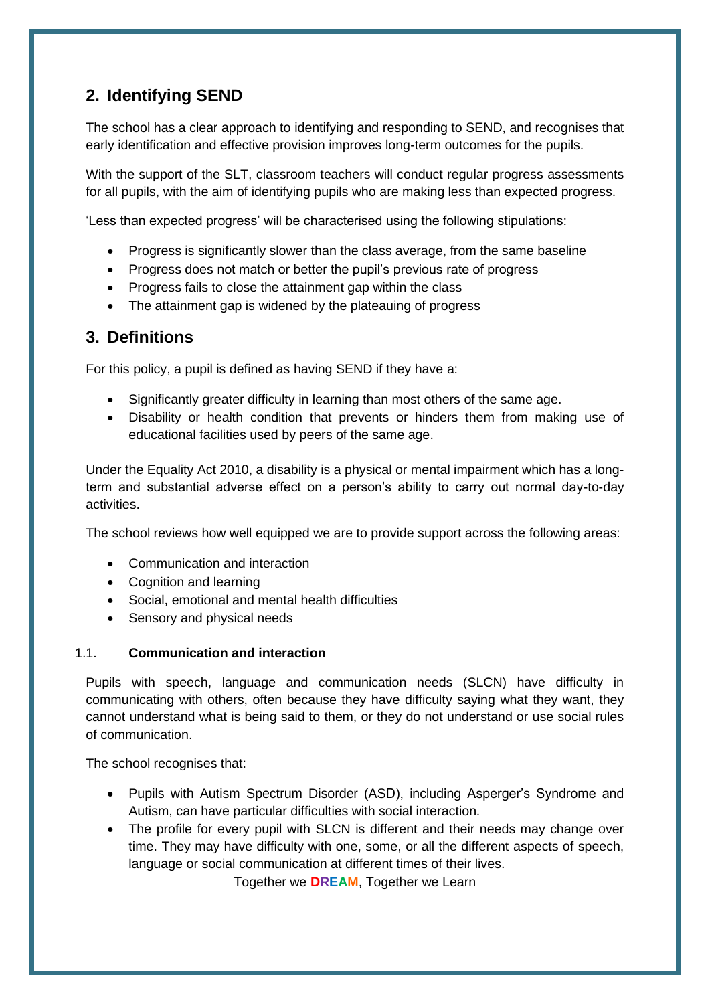# <span id="page-4-0"></span>**2. Identifying SEND**

The school has a clear approach to identifying and responding to SEND, and recognises that early identification and effective provision improves long-term outcomes for the pupils.

With the support of the SLT, classroom teachers will conduct regular progress assessments for all pupils, with the aim of identifying pupils who are making less than expected progress.

'Less than expected progress' will be characterised using the following stipulations:

- Progress is significantly slower than the class average, from the same baseline
- Progress does not match or better the pupil's previous rate of progress
- Progress fails to close the attainment gap within the class
- The attainment gap is widened by the plateauing of progress

#### <span id="page-4-1"></span>**3. Definitions**

For this policy, a pupil is defined as having SEND if they have a:

- Significantly greater difficulty in learning than most others of the same age.
- Disability or health condition that prevents or hinders them from making use of educational facilities used by peers of the same age.

Under the Equality Act 2010, a disability is a physical or mental impairment which has a longterm and substantial adverse effect on a person's ability to carry out normal day-to-day activities.

The school reviews how well equipped we are to provide support across the following areas:

- Communication and interaction
- Cognition and learning
- Social, emotional and mental health difficulties
- Sensory and physical needs

#### 1.1. **Communication and interaction**

Pupils with speech, language and communication needs (SLCN) have difficulty in communicating with others, often because they have difficulty saying what they want, they cannot understand what is being said to them, or they do not understand or use social rules of communication.

The school recognises that:

- Pupils with Autism Spectrum Disorder (ASD), including Asperger's Syndrome and Autism, can have particular difficulties with social interaction.
- The profile for every pupil with SLCN is different and their needs may change over time. They may have difficulty with one, some, or all the different aspects of speech, language or social communication at different times of their lives.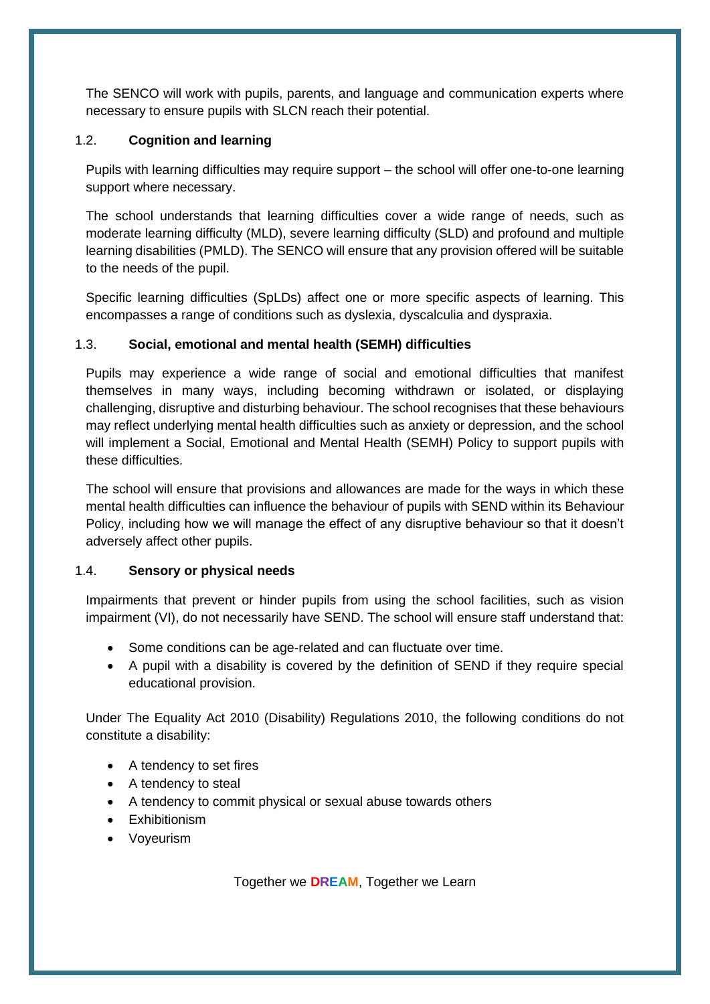The SENCO will work with pupils, parents, and language and communication experts where necessary to ensure pupils with SLCN reach their potential.

#### 1.2. **Cognition and learning**

Pupils with learning difficulties may require support – the school will offer one-to-one learning support where necessary.

The school understands that learning difficulties cover a wide range of needs, such as moderate learning difficulty (MLD), severe learning difficulty (SLD) and profound and multiple learning disabilities (PMLD). The SENCO will ensure that any provision offered will be suitable to the needs of the pupil.

Specific learning difficulties (SpLDs) affect one or more specific aspects of learning. This encompasses a range of conditions such as dyslexia, dyscalculia and dyspraxia.

#### 1.3. **Social, emotional and mental health (SEMH) difficulties**

Pupils may experience a wide range of social and emotional difficulties that manifest themselves in many ways, including becoming withdrawn or isolated, or displaying challenging, disruptive and disturbing behaviour. The school recognises that these behaviours may reflect underlying mental health difficulties such as anxiety or depression, and the school will implement a Social, Emotional and Mental Health (SEMH) Policy to support pupils with these difficulties.

The school will ensure that provisions and allowances are made for the ways in which these mental health difficulties can influence the behaviour of pupils with SEND within its Behaviour Policy, including how we will manage the effect of any disruptive behaviour so that it doesn't adversely affect other pupils.

#### 1.4. **Sensory or physical needs**

Impairments that prevent or hinder pupils from using the school facilities, such as vision impairment (VI), do not necessarily have SEND. The school will ensure staff understand that:

- Some conditions can be age-related and can fluctuate over time.
- A pupil with a disability is covered by the definition of SEND if they require special educational provision.

Under The Equality Act 2010 (Disability) Regulations 2010, the following conditions do not constitute a disability:

- A tendency to set fires
- A tendency to steal
- A tendency to commit physical or sexual abuse towards others
- Exhibitionism
- Voyeurism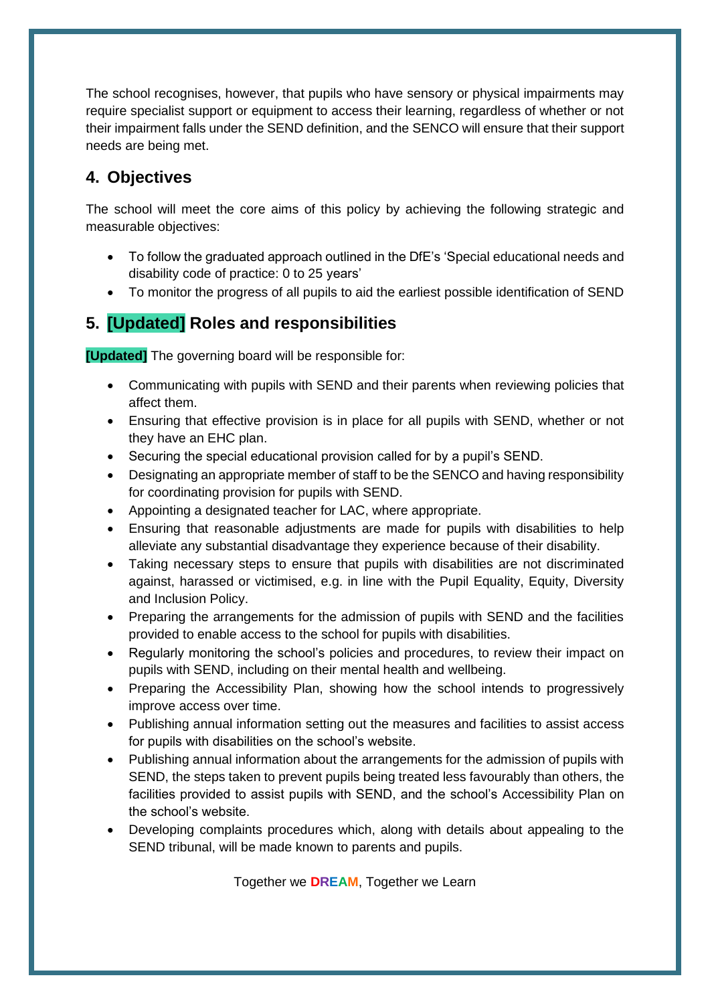The school recognises, however, that pupils who have sensory or physical impairments may require specialist support or equipment to access their learning, regardless of whether or not their impairment falls under the SEND definition, and the SENCO will ensure that their support needs are being met.

## <span id="page-6-0"></span>**4. Objectives**

The school will meet the core aims of this policy by achieving the following strategic and measurable objectives:

- To follow the graduated approach outlined in the DfE's 'Special educational needs and disability code of practice: 0 to 25 years'
- To monitor the progress of all pupils to aid the earliest possible identification of SEND

# <span id="page-6-1"></span>**5. [Updated] Roles and responsibilities**

**[Updated]** The governing board will be responsible for:

- Communicating with pupils with SEND and their parents when reviewing policies that affect them.
- Ensuring that effective provision is in place for all pupils with SEND, whether or not they have an EHC plan.
- Securing the special educational provision called for by a pupil's SEND.
- Designating an appropriate member of staff to be the SENCO and having responsibility for coordinating provision for pupils with SEND.
- Appointing a designated teacher for LAC, where appropriate.
- Ensuring that reasonable adjustments are made for pupils with disabilities to help alleviate any substantial disadvantage they experience because of their disability.
- Taking necessary steps to ensure that pupils with disabilities are not discriminated against, harassed or victimised, e.g. in line with the Pupil Equality, Equity, Diversity and Inclusion Policy.
- Preparing the arrangements for the admission of pupils with SEND and the facilities provided to enable access to the school for pupils with disabilities.
- Regularly monitoring the school's policies and procedures, to review their impact on pupils with SEND, including on their mental health and wellbeing.
- Preparing the Accessibility Plan, showing how the school intends to progressively improve access over time.
- Publishing annual information setting out the measures and facilities to assist access for pupils with disabilities on the school's website.
- Publishing annual information about the arrangements for the admission of pupils with SEND, the steps taken to prevent pupils being treated less favourably than others, the facilities provided to assist pupils with SEND, and the school's Accessibility Plan on the school's website.
- Developing complaints procedures which, along with details about appealing to the SEND tribunal, will be made known to parents and pupils.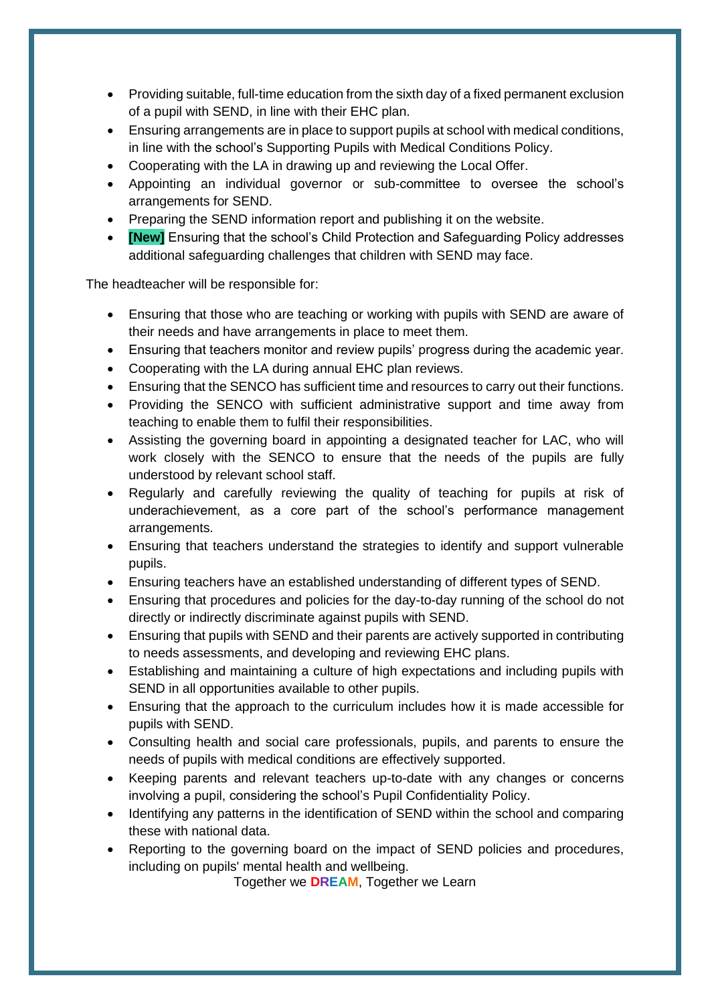- Providing suitable, full-time education from the sixth day of a fixed permanent exclusion of a pupil with SEND, in line with their EHC plan.
- Ensuring arrangements are in place to support pupils at school with medical conditions, in line with the school's Supporting Pupils with Medical Conditions Policy.
- Cooperating with the LA in drawing up and reviewing the Local Offer.
- Appointing an individual governor or sub-committee to oversee the school's arrangements for SEND.
- Preparing the SEND information report and publishing it on the website.
- **[New]** Ensuring that the school's Child Protection and Safeguarding Policy addresses additional safeguarding challenges that children with SEND may face.

The headteacher will be responsible for:

- Ensuring that those who are teaching or working with pupils with SEND are aware of their needs and have arrangements in place to meet them.
- Ensuring that teachers monitor and review pupils' progress during the academic year.
- Cooperating with the LA during annual EHC plan reviews.
- Ensuring that the SENCO has sufficient time and resources to carry out their functions.
- Providing the SENCO with sufficient administrative support and time away from teaching to enable them to fulfil their responsibilities.
- Assisting the governing board in appointing a designated teacher for LAC, who will work closely with the SENCO to ensure that the needs of the pupils are fully understood by relevant school staff.
- Regularly and carefully reviewing the quality of teaching for pupils at risk of underachievement, as a core part of the school's performance management arrangements.
- Ensuring that teachers understand the strategies to identify and support vulnerable pupils.
- Ensuring teachers have an established understanding of different types of SEND.
- Ensuring that procedures and policies for the day-to-day running of the school do not directly or indirectly discriminate against pupils with SEND.
- Ensuring that pupils with SEND and their parents are actively supported in contributing to needs assessments, and developing and reviewing EHC plans.
- Establishing and maintaining a culture of high expectations and including pupils with SEND in all opportunities available to other pupils.
- Ensuring that the approach to the curriculum includes how it is made accessible for pupils with SEND.
- Consulting health and social care professionals, pupils, and parents to ensure the needs of pupils with medical conditions are effectively supported.
- Keeping parents and relevant teachers up-to-date with any changes or concerns involving a pupil, considering the school's Pupil Confidentiality Policy.
- Identifying any patterns in the identification of SEND within the school and comparing these with national data.
- Reporting to the governing board on the impact of SEND policies and procedures, including on pupils' mental health and wellbeing.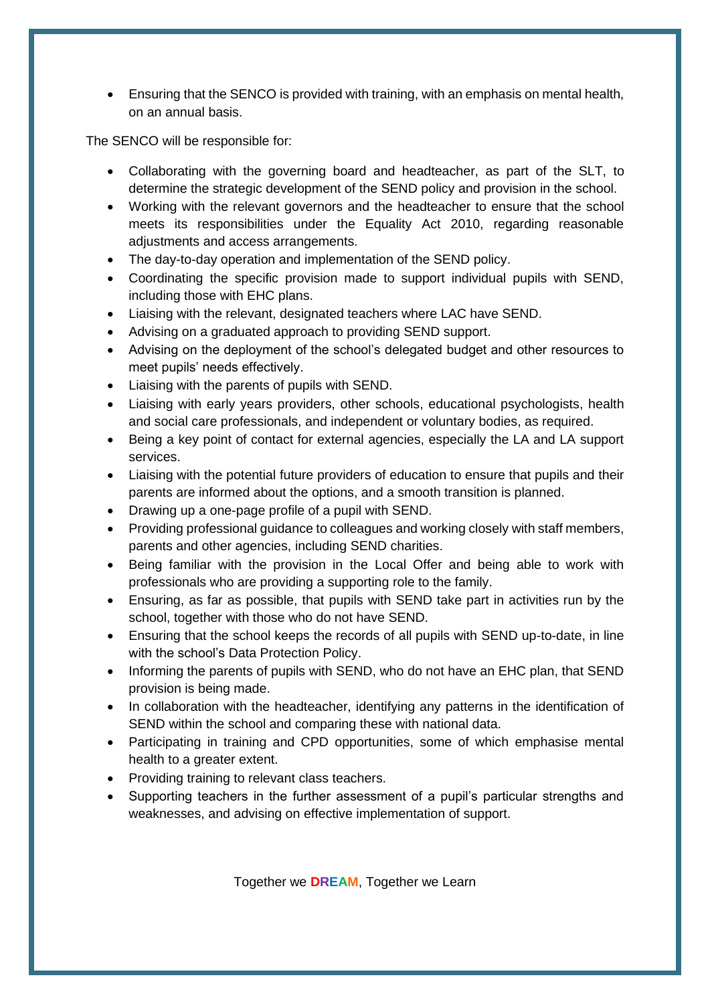• Ensuring that the SENCO is provided with training, with an emphasis on mental health, on an annual basis.

The SENCO will be responsible for:

- Collaborating with the governing board and headteacher, as part of the SLT, to determine the strategic development of the SEND policy and provision in the school.
- Working with the relevant governors and the headteacher to ensure that the school meets its responsibilities under the Equality Act 2010, regarding reasonable adjustments and access arrangements.
- The day-to-day operation and implementation of the SEND policy.
- Coordinating the specific provision made to support individual pupils with SEND, including those with EHC plans.
- Liaising with the relevant, designated teachers where LAC have SEND.
- Advising on a graduated approach to providing SEND support.
- Advising on the deployment of the school's delegated budget and other resources to meet pupils' needs effectively.
- Liaising with the parents of pupils with SEND.
- Liaising with early years providers, other schools, educational psychologists, health and social care professionals, and independent or voluntary bodies, as required.
- Being a key point of contact for external agencies, especially the LA and LA support services.
- Liaising with the potential future providers of education to ensure that pupils and their parents are informed about the options, and a smooth transition is planned.
- Drawing up a one-page profile of a pupil with SEND.
- Providing professional guidance to colleagues and working closely with staff members, parents and other agencies, including SEND charities.
- Being familiar with the provision in the Local Offer and being able to work with professionals who are providing a supporting role to the family.
- Ensuring, as far as possible, that pupils with SEND take part in activities run by the school, together with those who do not have SEND.
- Ensuring that the school keeps the records of all pupils with SEND up-to-date, in line with the school's Data Protection Policy.
- Informing the parents of pupils with SEND, who do not have an EHC plan, that SEND provision is being made.
- In collaboration with the headteacher, identifying any patterns in the identification of SEND within the school and comparing these with national data.
- Participating in training and CPD opportunities, some of which emphasise mental health to a greater extent.
- Providing training to relevant class teachers.
- Supporting teachers in the further assessment of a pupil's particular strengths and weaknesses, and advising on effective implementation of support.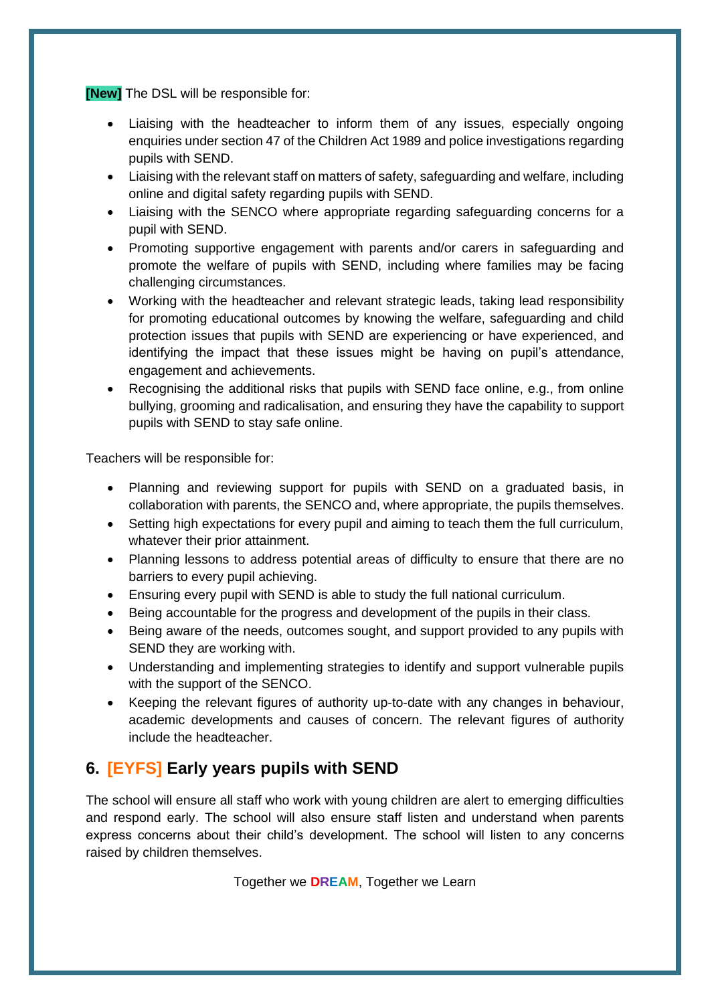**[New]** The DSL will be responsible for:

- Liaising with the headteacher to inform them of any issues, especially ongoing enquiries under section 47 of the Children Act 1989 and police investigations regarding pupils with SEND.
- Liaising with the relevant staff on matters of safety, safeguarding and welfare, including online and digital safety regarding pupils with SEND.
- Liaising with the SENCO where appropriate regarding safeguarding concerns for a pupil with SEND.
- Promoting supportive engagement with parents and/or carers in safeguarding and promote the welfare of pupils with SEND, including where families may be facing challenging circumstances.
- Working with the headteacher and relevant strategic leads, taking lead responsibility for promoting educational outcomes by knowing the welfare, safeguarding and child protection issues that pupils with SEND are experiencing or have experienced, and identifying the impact that these issues might be having on pupil's attendance, engagement and achievements.
- Recognising the additional risks that pupils with SEND face online, e.g., from online bullying, grooming and radicalisation, and ensuring they have the capability to support pupils with SEND to stay safe online.

Teachers will be responsible for:

- Planning and reviewing support for pupils with SEND on a graduated basis, in collaboration with parents, the SENCO and, where appropriate, the pupils themselves.
- Setting high expectations for every pupil and aiming to teach them the full curriculum, whatever their prior attainment.
- Planning lessons to address potential areas of difficulty to ensure that there are no barriers to every pupil achieving.
- Ensuring every pupil with SEND is able to study the full national curriculum.
- Being accountable for the progress and development of the pupils in their class.
- Being aware of the needs, outcomes sought, and support provided to any pupils with SEND they are working with.
- Understanding and implementing strategies to identify and support vulnerable pupils with the support of the SENCO.
- Keeping the relevant figures of authority up-to-date with any changes in behaviour, academic developments and causes of concern. The relevant figures of authority include the headteacher.

### <span id="page-9-0"></span>**6. [EYFS] Early years pupils with SEND**

The school will ensure all staff who work with young children are alert to emerging difficulties and respond early. The school will also ensure staff listen and understand when parents express concerns about their child's development. The school will listen to any concerns raised by children themselves.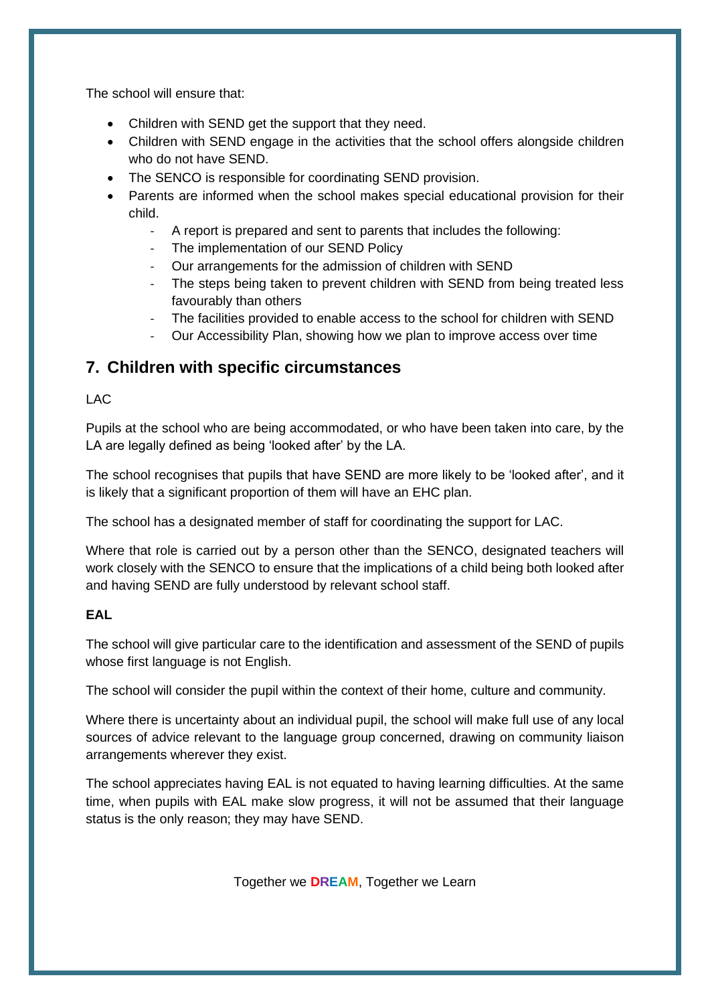The school will ensure that:

- Children with SEND get the support that they need.
- Children with SEND engage in the activities that the school offers alongside children who do not have SEND.
- The SENCO is responsible for coordinating SEND provision.
- Parents are informed when the school makes special educational provision for their child.
	- A report is prepared and sent to parents that includes the following:
	- The implementation of our SEND Policy
	- Our arrangements for the admission of children with SEND
	- The steps being taken to prevent children with SEND from being treated less favourably than others
	- The facilities provided to enable access to the school for children with SEND
	- Our Accessibility Plan, showing how we plan to improve access over time

## <span id="page-10-0"></span>**7. Children with specific circumstances**

#### LAC

Pupils at the school who are being accommodated, or who have been taken into care, by the LA are legally defined as being 'looked after' by the LA.

The school recognises that pupils that have SEND are more likely to be 'looked after', and it is likely that a significant proportion of them will have an EHC plan.

The school has a designated member of staff for coordinating the support for LAC.

Where that role is carried out by a person other than the SENCO, designated teachers will work closely with the SENCO to ensure that the implications of a child being both looked after and having SEND are fully understood by relevant school staff.

#### **EAL**

The school will give particular care to the identification and assessment of the SEND of pupils whose first language is not English.

The school will consider the pupil within the context of their home, culture and community.

Where there is uncertainty about an individual pupil, the school will make full use of any local sources of advice relevant to the language group concerned, drawing on community liaison arrangements wherever they exist.

The school appreciates having EAL is not equated to having learning difficulties. At the same time, when pupils with EAL make slow progress, it will not be assumed that their language status is the only reason; they may have SEND.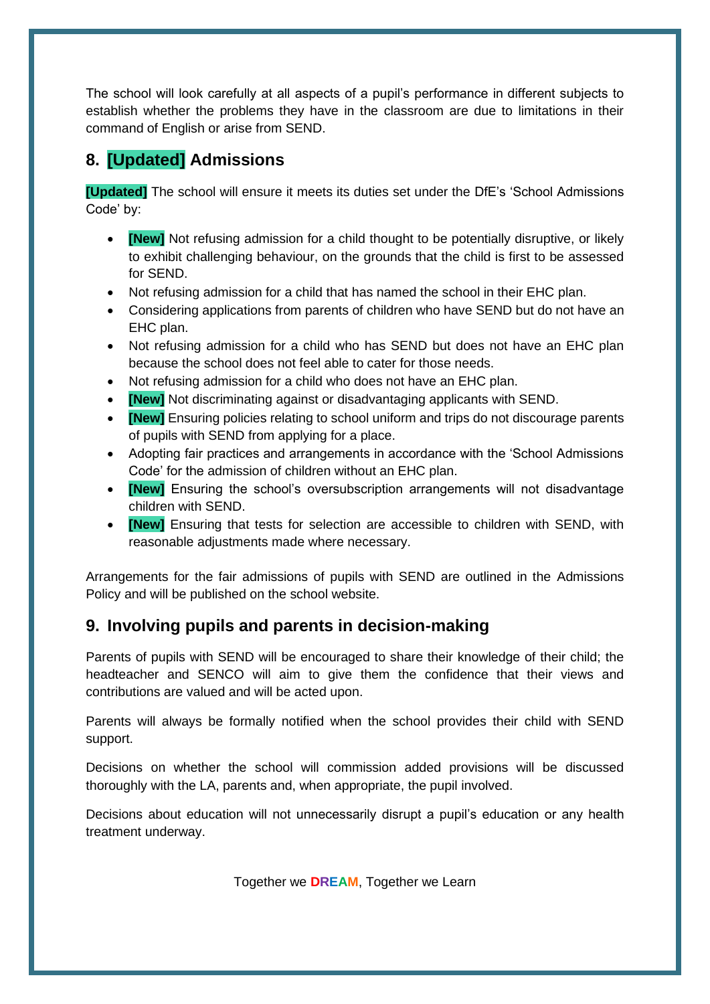The school will look carefully at all aspects of a pupil's performance in different subjects to establish whether the problems they have in the classroom are due to limitations in their command of English or arise from SEND.

# <span id="page-11-0"></span>**8. [Updated] Admissions**

**[Updated]** The school will ensure it meets its duties set under the DfE's 'School Admissions Code' by:

- **[New]** Not refusing admission for a child thought to be potentially disruptive, or likely to exhibit challenging behaviour, on the grounds that the child is first to be assessed for SEND.
- Not refusing admission for a child that has named the school in their EHC plan.
- Considering applications from parents of children who have SEND but do not have an EHC plan.
- Not refusing admission for a child who has SEND but does not have an EHC plan because the school does not feel able to cater for those needs.
- Not refusing admission for a child who does not have an EHC plan.
- **[New]** Not discriminating against or disadvantaging applicants with SEND.
- **[New]** Ensuring policies relating to school uniform and trips do not discourage parents of pupils with SEND from applying for a place.
- Adopting fair practices and arrangements in accordance with the 'School Admissions Code' for the admission of children without an EHC plan.
- **[New]** Ensuring the school's oversubscription arrangements will not disadvantage children with SEND.
- **[New]** Ensuring that tests for selection are accessible to children with SEND, with reasonable adjustments made where necessary.

Arrangements for the fair admissions of pupils with SEND are outlined in the Admissions Policy and will be published on the school website.

# <span id="page-11-1"></span>**9. Involving pupils and parents in decision-making**

Parents of pupils with SEND will be encouraged to share their knowledge of their child; the headteacher and SENCO will aim to give them the confidence that their views and contributions are valued and will be acted upon.

Parents will always be formally notified when the school provides their child with SEND support.

Decisions on whether the school will commission added provisions will be discussed thoroughly with the LA, parents and, when appropriate, the pupil involved.

Decisions about education will not unnecessarily disrupt a pupil's education or any health treatment underway.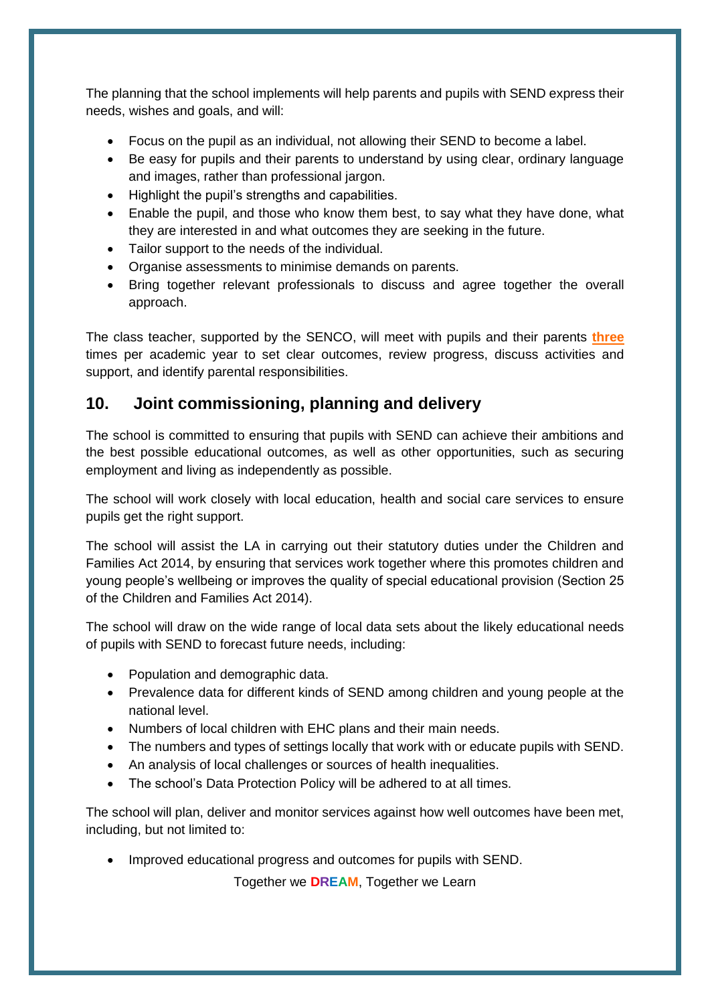The planning that the school implements will help parents and pupils with SEND express their needs, wishes and goals, and will:

- Focus on the pupil as an individual, not allowing their SEND to become a label.
- Be easy for pupils and their parents to understand by using clear, ordinary language and images, rather than professional jargon.
- Highlight the pupil's strengths and capabilities.
- Enable the pupil, and those who know them best, to say what they have done, what they are interested in and what outcomes they are seeking in the future.
- Tailor support to the needs of the individual.
- Organise assessments to minimise demands on parents.
- Bring together relevant professionals to discuss and agree together the overall approach.

The class teacher, supported by the SENCO, will meet with pupils and their parents **three** times per academic year to set clear outcomes, review progress, discuss activities and support, and identify parental responsibilities.

#### <span id="page-12-0"></span>**10. Joint commissioning, planning and delivery**

The school is committed to ensuring that pupils with SEND can achieve their ambitions and the best possible educational outcomes, as well as other opportunities, such as securing employment and living as independently as possible.

The school will work closely with local education, health and social care services to ensure pupils get the right support.

The school will assist the LA in carrying out their statutory duties under the Children and Families Act 2014, by ensuring that services work together where this promotes children and young people's wellbeing or improves the quality of special educational provision (Section 25 of the Children and Families Act 2014).

The school will draw on the wide range of local data sets about the likely educational needs of pupils with SEND to forecast future needs, including:

- Population and demographic data.
- Prevalence data for different kinds of SEND among children and young people at the national level.
- Numbers of local children with EHC plans and their main needs.
- The numbers and types of settings locally that work with or educate pupils with SEND.
- An analysis of local challenges or sources of health inequalities.
- The school's Data Protection Policy will be adhered to at all times.

The school will plan, deliver and monitor services against how well outcomes have been met, including, but not limited to:

• Improved educational progress and outcomes for pupils with SEND.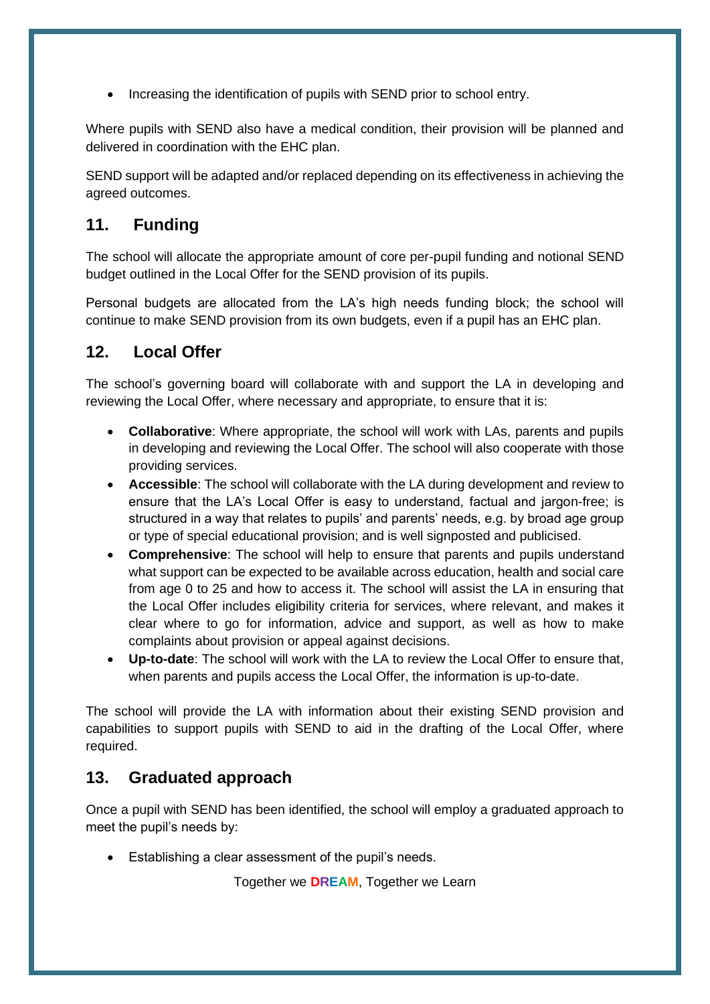• Increasing the identification of pupils with SEND prior to school entry.

Where pupils with SEND also have a medical condition, their provision will be planned and delivered in coordination with the EHC plan.

SEND support will be adapted and/or replaced depending on its effectiveness in achieving the agreed outcomes.

## <span id="page-13-0"></span>**11. Funding**

The school will allocate the appropriate amount of core per-pupil funding and notional SEND budget outlined in the Local Offer for the SEND provision of its pupils.

Personal budgets are allocated from the LA's high needs funding block; the school will continue to make SEND provision from its own budgets, even if a pupil has an EHC plan.

### <span id="page-13-1"></span>**12. Local Offer**

The school's governing board will collaborate with and support the LA in developing and reviewing the Local Offer, where necessary and appropriate, to ensure that it is:

- **Collaborative**: Where appropriate, the school will work with LAs, parents and pupils in developing and reviewing the Local Offer. The school will also cooperate with those providing services.
- **Accessible**: The school will collaborate with the LA during development and review to ensure that the LA's Local Offer is easy to understand, factual and jargon-free; is structured in a way that relates to pupils' and parents' needs, e.g. by broad age group or type of special educational provision; and is well signposted and publicised.
- **Comprehensive**: The school will help to ensure that parents and pupils understand what support can be expected to be available across education, health and social care from age 0 to 25 and how to access it. The school will assist the LA in ensuring that the Local Offer includes eligibility criteria for services, where relevant, and makes it clear where to go for information, advice and support, as well as how to make complaints about provision or appeal against decisions.
- **Up-to-date**: The school will work with the LA to review the Local Offer to ensure that, when parents and pupils access the Local Offer, the information is up-to-date.

The school will provide the LA with information about their existing SEND provision and capabilities to support pupils with SEND to aid in the drafting of the Local Offer, where required.

### <span id="page-13-2"></span>**13. Graduated approach**

Once a pupil with SEND has been identified, the school will employ a graduated approach to meet the pupil's needs by:

• Establishing a clear assessment of the pupil's needs.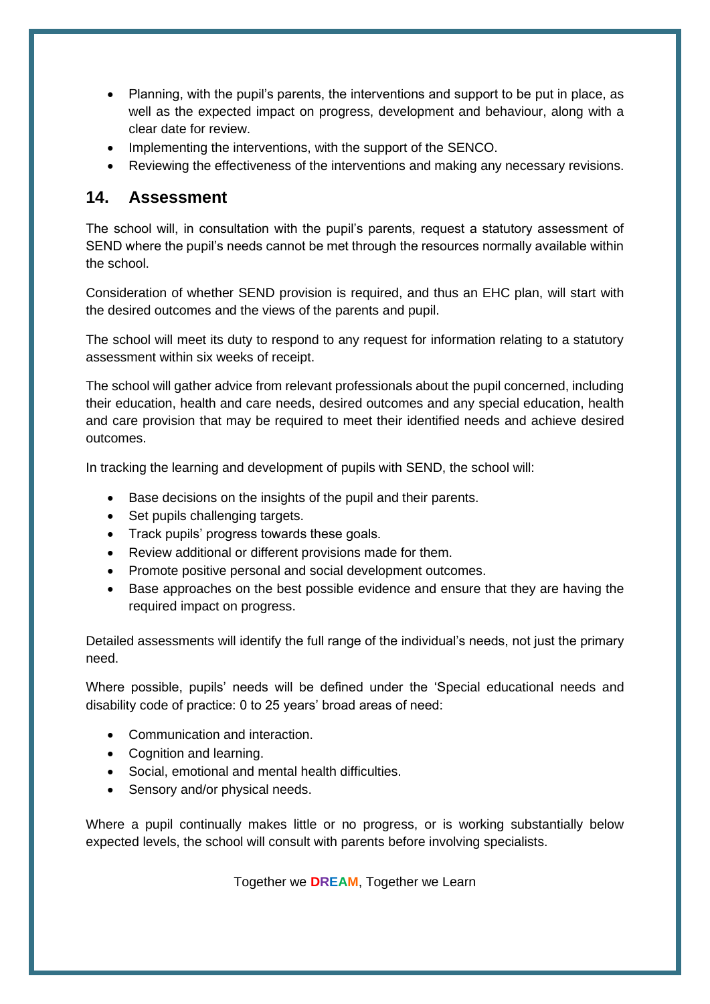- Planning, with the pupil's parents, the interventions and support to be put in place, as well as the expected impact on progress, development and behaviour, along with a clear date for review.
- Implementing the interventions, with the support of the SENCO.
- Reviewing the effectiveness of the interventions and making any necessary revisions.

#### <span id="page-14-0"></span>**14. Assessment**

The school will, in consultation with the pupil's parents, request a statutory assessment of SEND where the pupil's needs cannot be met through the resources normally available within the school.

Consideration of whether SEND provision is required, and thus an EHC plan, will start with the desired outcomes and the views of the parents and pupil.

The school will meet its duty to respond to any request for information relating to a statutory assessment within six weeks of receipt.

The school will gather advice from relevant professionals about the pupil concerned, including their education, health and care needs, desired outcomes and any special education, health and care provision that may be required to meet their identified needs and achieve desired outcomes.

In tracking the learning and development of pupils with SEND, the school will:

- Base decisions on the insights of the pupil and their parents.
- Set pupils challenging targets.
- Track pupils' progress towards these goals.
- Review additional or different provisions made for them.
- Promote positive personal and social development outcomes.
- Base approaches on the best possible evidence and ensure that they are having the required impact on progress.

Detailed assessments will identify the full range of the individual's needs, not just the primary need.

Where possible, pupils' needs will be defined under the 'Special educational needs and disability code of practice: 0 to 25 years' broad areas of need:

- Communication and interaction.
- Cognition and learning.
- Social, emotional and mental health difficulties.
- Sensory and/or physical needs.

Where a pupil continually makes little or no progress, or is working substantially below expected levels, the school will consult with parents before involving specialists.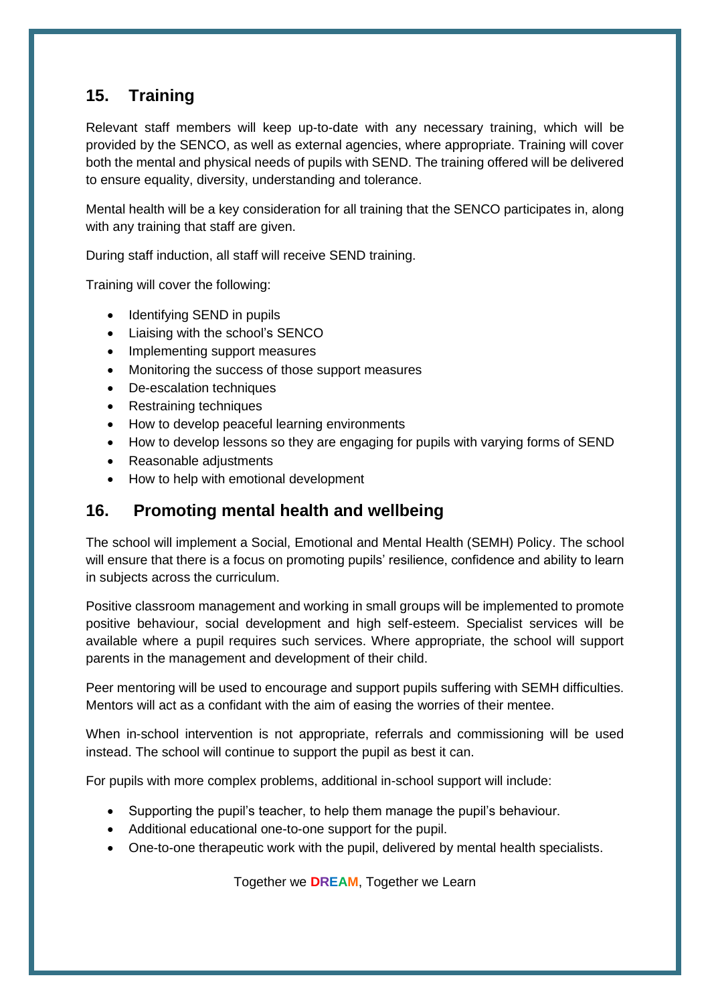## <span id="page-15-0"></span>**15. Training**

Relevant staff members will keep up-to-date with any necessary training, which will be provided by the SENCO, as well as external agencies, where appropriate. Training will cover both the mental and physical needs of pupils with SEND. The training offered will be delivered to ensure equality, diversity, understanding and tolerance.

Mental health will be a key consideration for all training that the SENCO participates in, along with any training that staff are given.

During staff induction, all staff will receive SEND training.

Training will cover the following:

- Identifying SEND in pupils
- Liaising with the school's SENCO
- Implementing support measures
- Monitoring the success of those support measures
- De-escalation techniques
- Restraining techniques
- How to develop peaceful learning environments
- How to develop lessons so they are engaging for pupils with varying forms of SEND
- Reasonable adjustments
- How to help with emotional development

#### <span id="page-15-1"></span>**16. Promoting mental health and wellbeing**

The school will implement a Social, Emotional and Mental Health (SEMH) Policy. The school will ensure that there is a focus on promoting pupils' resilience, confidence and ability to learn in subjects across the curriculum.

Positive classroom management and working in small groups will be implemented to promote positive behaviour, social development and high self-esteem. Specialist services will be available where a pupil requires such services. Where appropriate, the school will support parents in the management and development of their child.

Peer mentoring will be used to encourage and support pupils suffering with SEMH difficulties. Mentors will act as a confidant with the aim of easing the worries of their mentee.

When in-school intervention is not appropriate, referrals and commissioning will be used instead. The school will continue to support the pupil as best it can.

For pupils with more complex problems, additional in-school support will include:

- Supporting the pupil's teacher, to help them manage the pupil's behaviour.
- Additional educational one-to-one support for the pupil.
- One-to-one therapeutic work with the pupil, delivered by mental health specialists.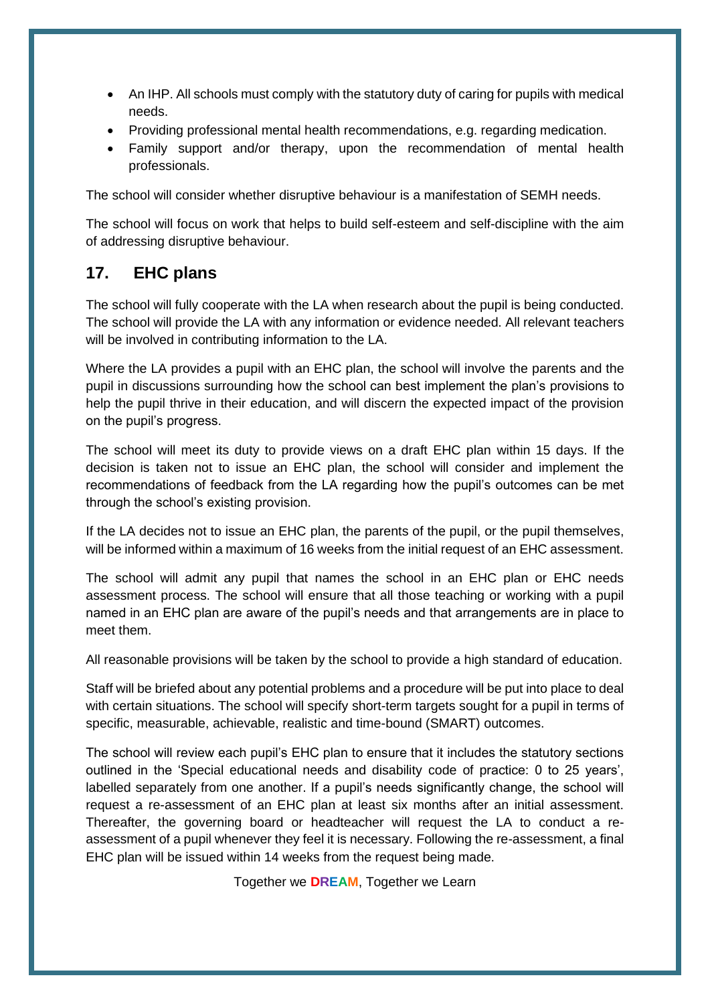- An IHP. All schools must comply with the statutory duty of caring for pupils with medical needs.
- Providing professional mental health recommendations, e.g. regarding medication.
- Family support and/or therapy, upon the recommendation of mental health professionals.

The school will consider whether disruptive behaviour is a manifestation of SEMH needs.

The school will focus on work that helps to build self-esteem and self-discipline with the aim of addressing disruptive behaviour.

#### <span id="page-16-0"></span>**17. EHC plans**

The school will fully cooperate with the LA when research about the pupil is being conducted. The school will provide the LA with any information or evidence needed. All relevant teachers will be involved in contributing information to the LA.

Where the LA provides a pupil with an EHC plan, the school will involve the parents and the pupil in discussions surrounding how the school can best implement the plan's provisions to help the pupil thrive in their education, and will discern the expected impact of the provision on the pupil's progress.

The school will meet its duty to provide views on a draft EHC plan within 15 days. If the decision is taken not to issue an EHC plan, the school will consider and implement the recommendations of feedback from the LA regarding how the pupil's outcomes can be met through the school's existing provision.

If the LA decides not to issue an EHC plan, the parents of the pupil, or the pupil themselves, will be informed within a maximum of 16 weeks from the initial request of an EHC assessment.

The school will admit any pupil that names the school in an EHC plan or EHC needs assessment process. The school will ensure that all those teaching or working with a pupil named in an EHC plan are aware of the pupil's needs and that arrangements are in place to meet them.

All reasonable provisions will be taken by the school to provide a high standard of education.

Staff will be briefed about any potential problems and a procedure will be put into place to deal with certain situations. The school will specify short-term targets sought for a pupil in terms of specific, measurable, achievable, realistic and time-bound (SMART) outcomes.

The school will review each pupil's EHC plan to ensure that it includes the statutory sections outlined in the 'Special educational needs and disability code of practice: 0 to 25 years', labelled separately from one another. If a pupil's needs significantly change, the school will request a re-assessment of an EHC plan at least six months after an initial assessment. Thereafter, the governing board or headteacher will request the LA to conduct a reassessment of a pupil whenever they feel it is necessary. Following the re-assessment, a final EHC plan will be issued within 14 weeks from the request being made.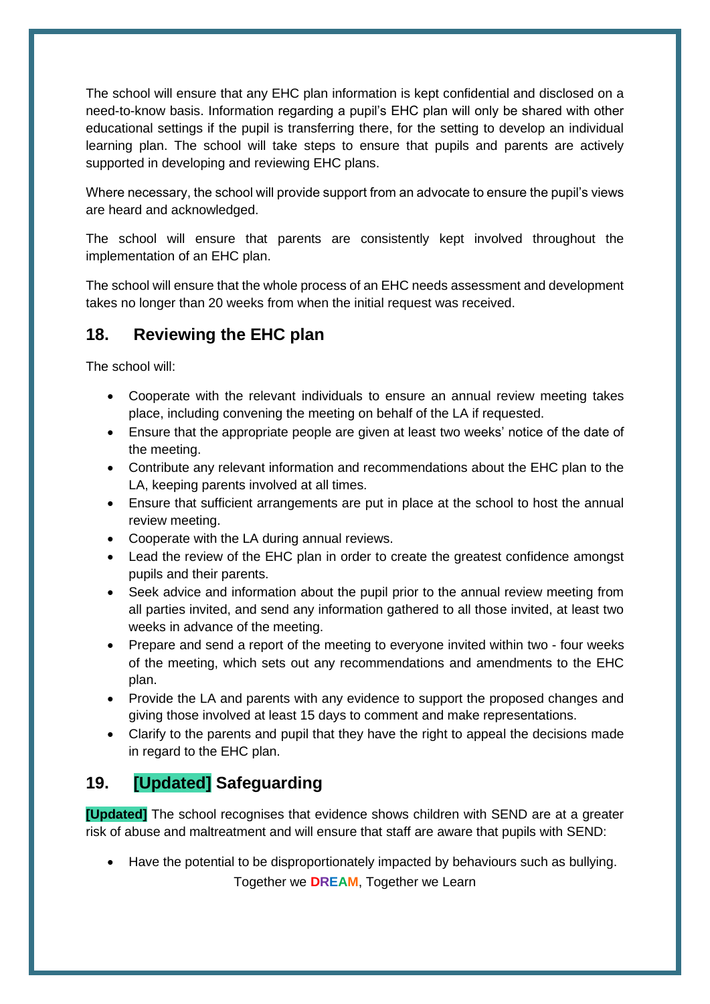The school will ensure that any EHC plan information is kept confidential and disclosed on a need-to-know basis. Information regarding a pupil's EHC plan will only be shared with other educational settings if the pupil is transferring there, for the setting to develop an individual learning plan. The school will take steps to ensure that pupils and parents are actively supported in developing and reviewing EHC plans.

Where necessary, the school will provide support from an advocate to ensure the pupil's views are heard and acknowledged.

The school will ensure that parents are consistently kept involved throughout the implementation of an EHC plan.

The school will ensure that the whole process of an EHC needs assessment and development takes no longer than 20 weeks from when the initial request was received.

## <span id="page-17-0"></span>**18. Reviewing the EHC plan**

The school will:

- Cooperate with the relevant individuals to ensure an annual review meeting takes place, including convening the meeting on behalf of the LA if requested.
- Ensure that the appropriate people are given at least two weeks' notice of the date of the meeting.
- Contribute any relevant information and recommendations about the EHC plan to the LA, keeping parents involved at all times.
- Ensure that sufficient arrangements are put in place at the school to host the annual review meeting.
- Cooperate with the LA during annual reviews.
- Lead the review of the EHC plan in order to create the greatest confidence amongst pupils and their parents.
- Seek advice and information about the pupil prior to the annual review meeting from all parties invited, and send any information gathered to all those invited, at least two weeks in advance of the meeting.
- Prepare and send a report of the meeting to everyone invited within two four weeks of the meeting, which sets out any recommendations and amendments to the EHC plan.
- Provide the LA and parents with any evidence to support the proposed changes and giving those involved at least 15 days to comment and make representations.
- Clarify to the parents and pupil that they have the right to appeal the decisions made in regard to the EHC plan.

# <span id="page-17-1"></span>**19. [Updated] Safeguarding**

**[Updated]** The school recognises that evidence shows children with SEND are at a greater risk of abuse and maltreatment and will ensure that staff are aware that pupils with SEND:

Together we **DREAM**, Together we Learn • Have the potential to be disproportionately impacted by behaviours such as bullying.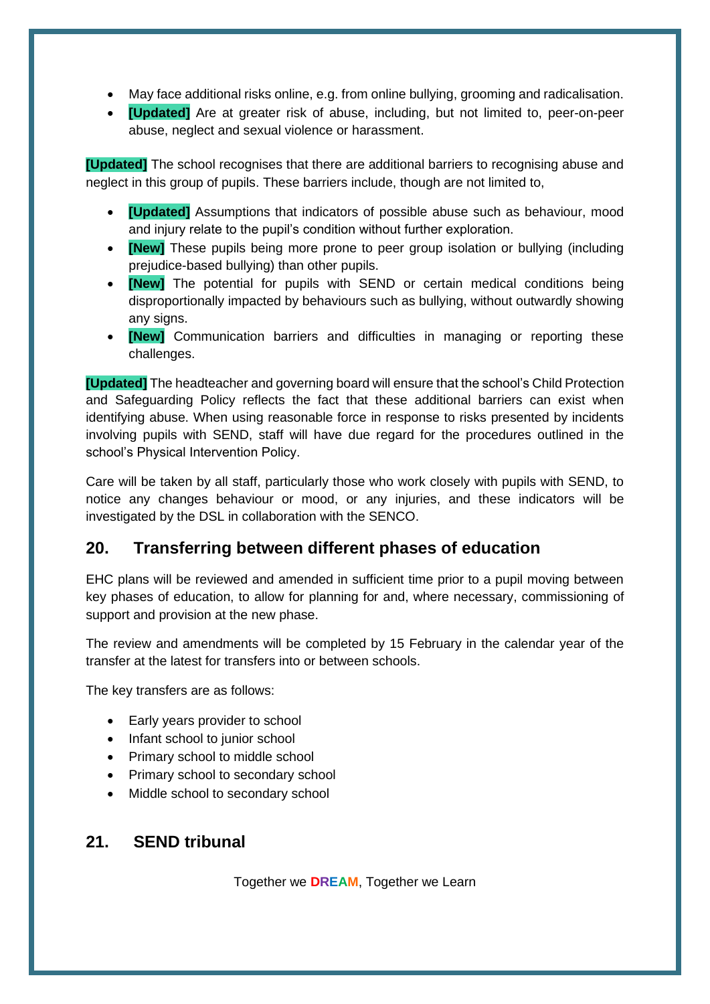- May face additional risks online, e.g. from online bullying, grooming and radicalisation.
- **[Updated]** Are at greater risk of abuse, including, but not limited to, peer-on-peer abuse, neglect and sexual violence or harassment.

**[Updated]** The school recognises that there are additional barriers to recognising abuse and neglect in this group of pupils. These barriers include, though are not limited to,

- **[Updated]** Assumptions that indicators of possible abuse such as behaviour, mood and injury relate to the pupil's condition without further exploration.
- **[New]** These pupils being more prone to peer group isolation or bullying (including prejudice-based bullying) than other pupils.
- **[New]** The potential for pupils with SEND or certain medical conditions being disproportionally impacted by behaviours such as bullying, without outwardly showing any signs.
- **[New]** Communication barriers and difficulties in managing or reporting these challenges.

**[Updated]** The headteacher and governing board will ensure that the school's Child Protection and Safeguarding Policy reflects the fact that these additional barriers can exist when identifying abuse. When using reasonable force in response to risks presented by incidents involving pupils with SEND, staff will have due regard for the procedures outlined in the school's Physical Intervention Policy.

Care will be taken by all staff, particularly those who work closely with pupils with SEND, to notice any changes behaviour or mood, or any injuries, and these indicators will be investigated by the DSL in collaboration with the SENCO.

#### <span id="page-18-0"></span>**20. Transferring between different phases of education**

EHC plans will be reviewed and amended in sufficient time prior to a pupil moving between key phases of education, to allow for planning for and, where necessary, commissioning of support and provision at the new phase.

The review and amendments will be completed by 15 February in the calendar year of the transfer at the latest for transfers into or between schools.

The key transfers are as follows:

- Early years provider to school
- Infant school to junior school
- Primary school to middle school
- Primary school to secondary school
- Middle school to secondary school

#### <span id="page-18-1"></span>**21. SEND tribunal**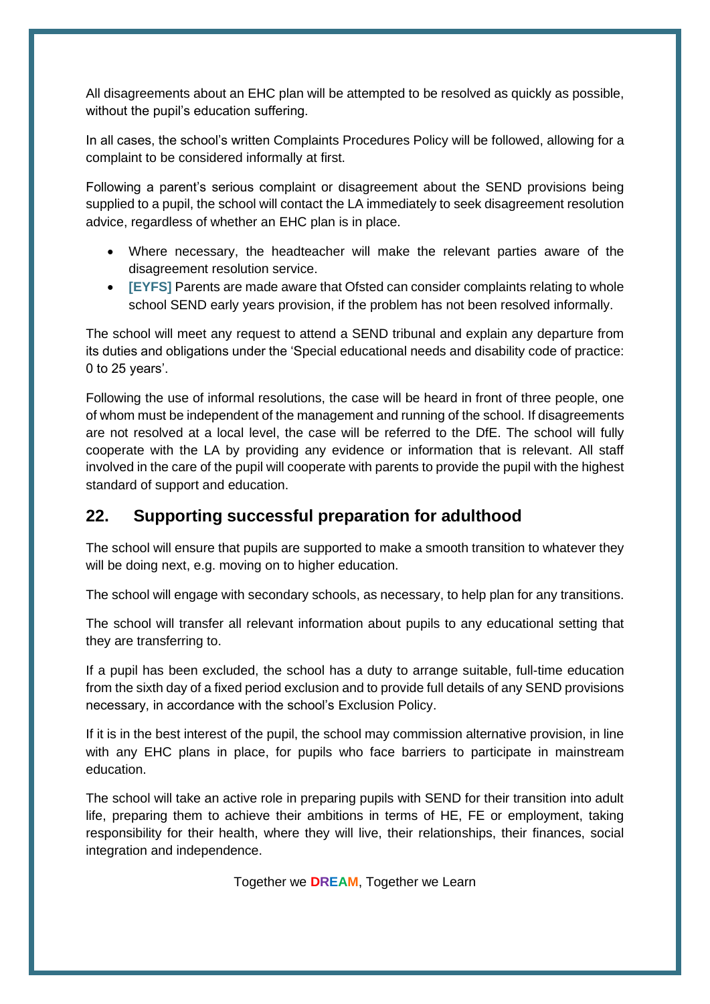All disagreements about an EHC plan will be attempted to be resolved as quickly as possible, without the pupil's education suffering.

In all cases, the school's written Complaints Procedures Policy will be followed, allowing for a complaint to be considered informally at first.

Following a parent's serious complaint or disagreement about the SEND provisions being supplied to a pupil, the school will contact the LA immediately to seek disagreement resolution advice, regardless of whether an EHC plan is in place.

- Where necessary, the headteacher will make the relevant parties aware of the disagreement resolution service.
- **[EYFS]** Parents are made aware that Ofsted can consider complaints relating to whole school SEND early years provision, if the problem has not been resolved informally.

The school will meet any request to attend a SEND tribunal and explain any departure from its duties and obligations under the 'Special educational needs and disability code of practice: 0 to 25 years'.

Following the use of informal resolutions, the case will be heard in front of three people, one of whom must be independent of the management and running of the school. If disagreements are not resolved at a local level, the case will be referred to the DfE. The school will fully cooperate with the LA by providing any evidence or information that is relevant. All staff involved in the care of the pupil will cooperate with parents to provide the pupil with the highest standard of support and education.

### <span id="page-19-0"></span>**22. Supporting successful preparation for adulthood**

The school will ensure that pupils are supported to make a smooth transition to whatever they will be doing next, e.g. moving on to higher education.

The school will engage with secondary schools, as necessary, to help plan for any transitions.

The school will transfer all relevant information about pupils to any educational setting that they are transferring to.

If a pupil has been excluded, the school has a duty to arrange suitable, full-time education from the sixth day of a fixed period exclusion and to provide full details of any SEND provisions necessary, in accordance with the school's Exclusion Policy.

If it is in the best interest of the pupil, the school may commission alternative provision, in line with any EHC plans in place, for pupils who face barriers to participate in mainstream education.

The school will take an active role in preparing pupils with SEND for their transition into adult life, preparing them to achieve their ambitions in terms of HE, FE or employment, taking responsibility for their health, where they will live, their relationships, their finances, social integration and independence.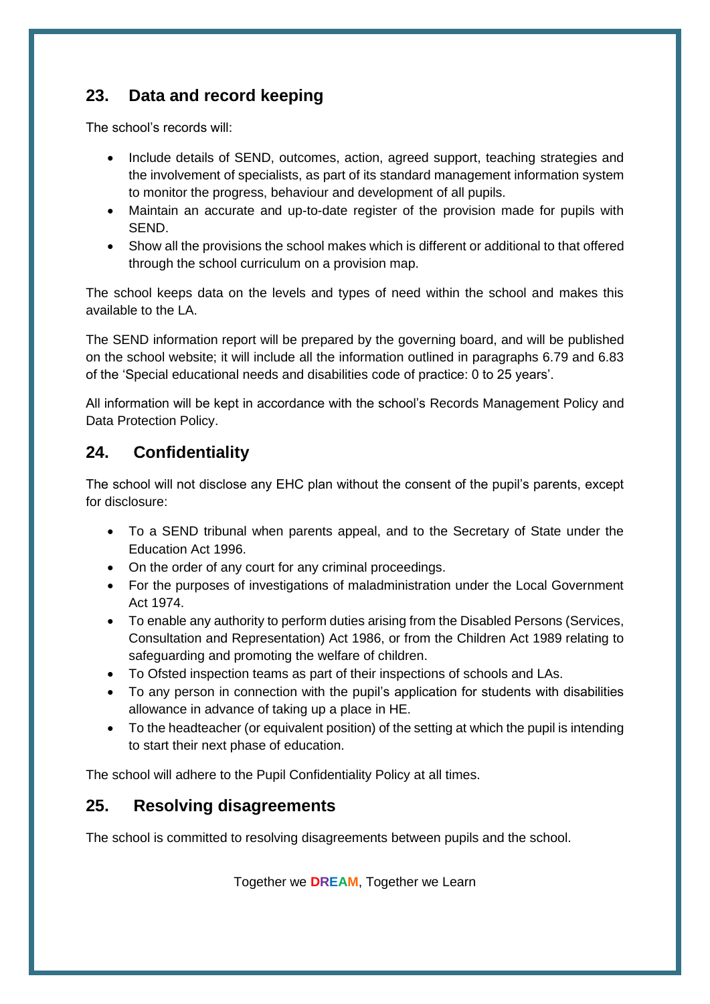## **23. Data and record keeping**

The school's records will:

- Include details of SEND, outcomes, action, agreed support, teaching strategies and the involvement of specialists, as part of its standard management information system to monitor the progress, behaviour and development of all pupils.
- Maintain an accurate and up-to-date register of the provision made for pupils with SEND.
- Show all the provisions the school makes which is different or additional to that offered through the school curriculum on a provision map.

The school keeps data on the levels and types of need within the school and makes this available to the LA.

The SEND information report will be prepared by the governing board, and will be published on the school website; it will include all the information outlined in paragraphs 6.79 and 6.83 of the 'Special educational needs and disabilities code of practice: 0 to 25 years'.

All information will be kept in accordance with the school's Records Management Policy and Data Protection Policy.

#### <span id="page-20-0"></span>**24. Confidentiality**

The school will not disclose any EHC plan without the consent of the pupil's parents, except for disclosure:

- To a SEND tribunal when parents appeal, and to the Secretary of State under the Education Act 1996.
- On the order of any court for any criminal proceedings.
- For the purposes of investigations of maladministration under the Local Government Act 1974.
- To enable any authority to perform duties arising from the Disabled Persons (Services, Consultation and Representation) Act 1986, or from the Children Act 1989 relating to safeguarding and promoting the welfare of children.
- To Ofsted inspection teams as part of their inspections of schools and LAs.
- To any person in connection with the pupil's application for students with disabilities allowance in advance of taking up a place in HE.
- To the headteacher (or equivalent position) of the setting at which the pupil is intending to start their next phase of education.

The school will adhere to the Pupil Confidentiality Policy at all times.

#### <span id="page-20-1"></span>**25. Resolving disagreements**

The school is committed to resolving disagreements between pupils and the school.